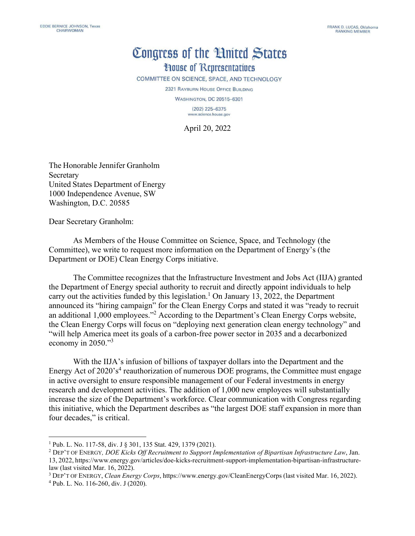## Congress of the Hnited States **House of Representatives**

COMMITTEE ON SCIENCE, SPACE, AND TECHNOLOGY

2321 RAYBURN HOUSE OFFICE BUILDING

**WASHINGTON, DC 20515-6301**  $(202)$  225-6375 www.science.house.gov

April 20, 2022

The Honorable Jennifer Granholm Secretary United States Department of Energy 1000 Independence Avenue, SW Washington, D.C. 20585

Dear Secretary Granholm:

As Members of the House Committee on Science, Space, and Technology (the Committee), we write to request more information on the Department of Energy's (the Department or DOE) Clean Energy Corps initiative.

The Committee recognizes that the Infrastructure Investment and Jobs Act (IIJA) granted the Department of Energy special authority to recruit and directly appoint individuals to help carry out the activities funded by this legislation.<sup>1</sup> On January 13, 2022, the Department announced its "hiring campaign" for the Clean Energy Corps and stated it was "ready to recruit an additional 1,000 employees.["2](#page-0-1) According to the Department's Clean Energy Corps website, the Clean Energy Corps will focus on "deploying next generation clean energy technology" and "will help America meet its goals of a carbon-free power sector in 2035 and a decarbonized economy in 2050.["3](#page-0-2)

With the IIJA's infusion of billions of taxpayer dollars into the Department and the Energy Act of  $2020$ 's<sup>[4](#page-0-3)</sup> reauthorization of numerous DOE programs, the Committee must engage in active oversight to ensure responsible management of our Federal investments in energy research and development activities. The addition of 1,000 new employees will substantially increase the size of the Department's workforce. Clear communication with Congress regarding this initiative, which the Department describes as "the largest DOE staff expansion in more than four decades," is critical.

<span id="page-0-0"></span><sup>1</sup> Pub. L. No. 117-58, div. J § 301, 135 Stat. 429, 1379 (2021).

<span id="page-0-1"></span><sup>2</sup> DEP'T OF ENERGY*, DOE Kicks Off Recruitment to Support Implementation of Bipartisan Infrastructure Law*, Jan. 13, 2022, http[s://www.energy.gov/articles/doe-kicks-recruitment-support-implementation-bipartisan-infrastructure](http://www.energy.gov/articles/doe-kicks-recruitment-support-implementation-bipartisan-infrastructure-)law (last visited Mar. 16, 2022).

<span id="page-0-2"></span><sup>3</sup> DEP'T OF ENERGY, *Clean Energy Corps*, https:/[/www.energy.gov/CleanEnergyCorps](http://www.energy.gov/CleanEnergyCorps) (last visited Mar. 16, 2022).

<span id="page-0-3"></span><sup>4</sup> Pub. L. No. 116-260, div. J (2020).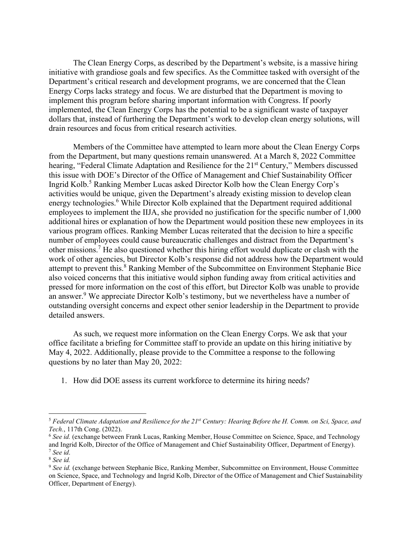The Clean Energy Corps, as described by the Department's website, is a massive hiring initiative with grandiose goals and few specifics. As the Committee tasked with oversight of the Department's critical research and development programs, we are concerned that the Clean Energy Corps lacks strategy and focus. We are disturbed that the Department is moving to implement this program before sharing important information with Congress. If poorly implemented, the Clean Energy Corps has the potential to be a significant waste of taxpayer dollars that, instead of furthering the Department's work to develop clean energy solutions, will drain resources and focus from critical research activities.

Members of the Committee have attempted to learn more about the Clean Energy Corps from the Department, but many questions remain unanswered. At a March 8, 2022 Committee hearing, "Federal Climate Adaptation and Resilience for the 21<sup>st</sup> Century," Members discussed this issue with DOE's Director of the Office of Management and Chief Sustainability Officer Ingrid Kolb.[5](#page-1-0) Ranking Member Lucas asked Director Kolb how the Clean Energy Corp's activities would be unique, given the Department's already existing mission to develop clean energy technologies.<sup>6</sup> While Director Kolb explained that the Department required additional employees to implement the IIJA, she provided no justification for the specific number of 1,000 additional hires or explanation of how the Department would position these new employees in its various program offices. Ranking Member Lucas reiterated that the decision to hire a specific number of employees could cause bureaucratic challenges and distract from the Department's other missions[.](#page-1-2)<sup>7</sup> He also questioned whether this hiring effort would duplicate or clash with the work of other agencies, but Director Kolb's response did not address how the Department would attempt to prevent this.<sup>[8](#page-1-3)</sup> Ranking Member of the Subcommittee on Environment Stephanie Bice also voiced concerns that this initiative would siphon funding away from critical activities and pressed for more information on the cost of this effort, but Director Kolb was unable to provide an answer.<sup>9</sup> We appreciate Director Kolb's testimony, but we nevertheless have a number of outstanding oversight concerns and expect other senior leadership in the Department to provide detailed answers.

As such, we request more information on the Clean Energy Corps. We ask that your office facilitate a briefing for Committee staff to provide an update on this hiring initiative by May 4, 2022. Additionally, please provide to the Committee a response to the following questions by no later than May 20, 2022:

1. How did DOE assess its current workforce to determine its hiring needs?

<span id="page-1-0"></span><sup>&</sup>lt;sup>5</sup> Federal Climate Adaptation and Resilience for the  $21^{st}$  Century: Hearing Before the H. Comm. on Sci, Space, and *Tech.*, 117th Cong. (2022).

<span id="page-1-1"></span><sup>6</sup> *See id.* (exchange between Frank Lucas, Ranking Member, House Committee on Science, Space, and Technology and Ingrid Kolb, Director of the Office of Management and Chief Sustainability Officer, Department of Energy). <sup>7</sup> *See id*.

<span id="page-1-3"></span><span id="page-1-2"></span><sup>8</sup> *See id.*

<span id="page-1-4"></span><sup>&</sup>lt;sup>9</sup> See id. (exchange between Stephanie Bice, Ranking Member, Subcommittee on Environment, House Committee on Science, Space, and Technology and Ingrid Kolb, Director of the Office of Management and Chief Sustainability Officer, Department of Energy).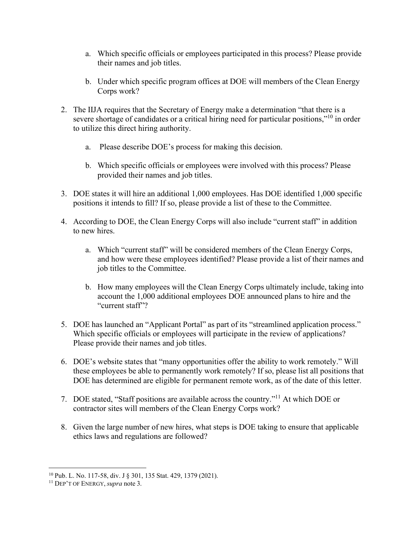- a. Which specific officials or employees participated in this process? Please provide their names and job titles.
- b. Under which specific program offices at DOE will members of the Clean Energy Corps work?
- 2. The IIJA requires that the Secretary of Energy make a determination "that there is a severe shortage of candidates or a critical hiring need for particular positions,"<sup>10</sup> in order to utilize this direct hiring authority.
	- a. Please describe DOE's process for making this decision.
	- b. Which specific officials or employees were involved with this process? Please provided their names and job titles.
- 3. DOE states it will hire an additional 1,000 employees. Has DOE identified 1,000 specific positions it intends to fill? If so, please provide a list of these to the Committee.
- 4. According to DOE, the Clean Energy Corps will also include "current staff" in addition to new hires.
	- a. Which "current staff" will be considered members of the Clean Energy Corps, and how were these employees identified? Please provide a list of their names and job titles to the Committee.
	- b. How many employees will the Clean Energy Corps ultimately include, taking into account the 1,000 additional employees DOE announced plans to hire and the "current staff"?
- 5. DOE has launched an "Applicant Portal" as part of its "streamlined application process." Which specific officials or employees will participate in the review of applications? Please provide their names and job titles.
- 6. DOE's website states that "many opportunities offer the ability to work remotely." Will these employees be able to permanently work remotely? If so, please list all positions that DOE has determined are eligible for permanent remote work, as of the date of this letter.
- 7. DOE stated, "Staff positions are available across the country.["11](#page-2-1) At which DOE or contractor sites will members of the Clean Energy Corps work?
- 8. Given the large number of new hires, what steps is DOE taking to ensure that applicable ethics laws and regulations are followed?

<span id="page-2-0"></span><sup>10</sup> Pub. L. No. 117-58, div. J § 301, 135 Stat. 429, 1379 (2021).

<span id="page-2-1"></span><sup>11</sup> DEP'T OF ENERGY, *supra* note 3.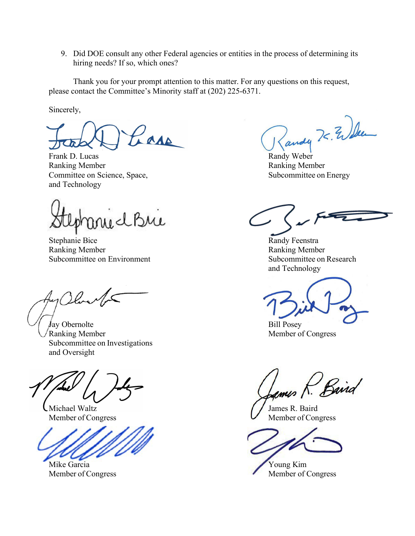9. Did DOE consult any other Federal agencies or entities in the process of determining its hiring needs? If so, which ones?

Thank you for your prompt attention to this matter. For any questions on this request, please contact the Committee's Minority staff at (202) 225-6371.

Sincerely,

 $\frac{1}{\sqrt{2\pi k}}$ ars

Ranking Member **Ranking Member** Ranking Member Committee on Science, Space, Subcommittee on Energy and Technology

muchue

Stephanie Bice Randy Feenstra Ranking Member Ranking Member Subcommittee on Environment Subcommittee on Research

Jl.a.

 $\int$ ay Obernolte Bill Posey Ranking Member Member and The Member of Congress Subcommittee on Investigations and Oversight

Michael Waltz Member of Congress

Mike Garcia Member of Congress

and Technology

Barrid

James R. Baird Member of Congress

Young Kim Member of Congress